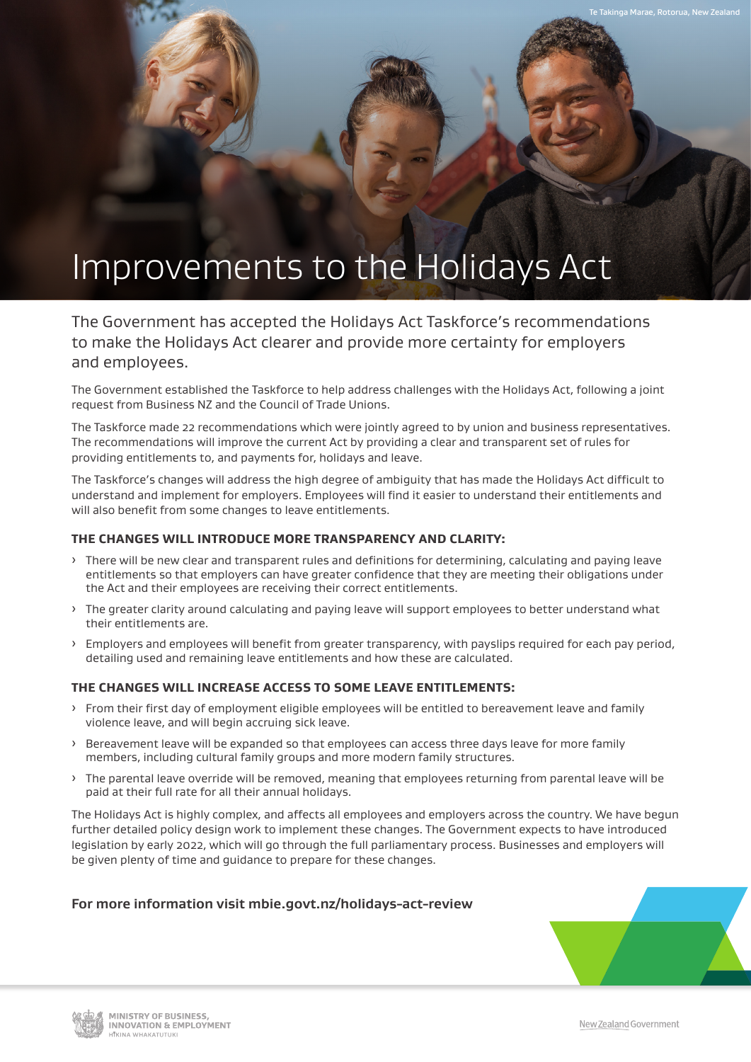# Improvements to the Holidays Act

The Government has accepted the Holidays Act Taskforce's recommendations to make the Holidays Act clearer and provide more certainty for employers and employees.

The Government established the Taskforce to help address challenges with the Holidays Act, following a joint request from Business NZ and the Council of Trade Unions.

The Taskforce made 22 recommendations which were jointly agreed to by union and business representatives. The recommendations will improve the current Act by providing a clear and transparent set of rules for providing entitlements to, and payments for, holidays and leave.

The Taskforce's changes will address the high degree of ambiguity that has made the Holidays Act difficult to understand and implement for employers. Employees will find it easier to understand their entitlements and will also benefit from some changes to leave entitlements.

## **THE CHANGES WILL INTRODUCE MORE TRANSPARENCY AND CLARITY:**

- ȓ There will be new clear and transparent rules and definitions for determining, calculating and paying leave entitlements so that employers can have greater confidence that they are meeting their obligations under the Act and their employees are receiving their correct entitlements.
- > The greater clarity around calculating and paying leave will support employees to better understand what their entitlements are.
- > Employers and employees will benefit from greater transparency, with payslips required for each pay period, detailing used and remaining leave entitlements and how these are calculated.

#### **THE CHANGES WILL INCREASE ACCESS TO SOME LEAVE ENTITLEMENTS:**

- > From their first day of employment eligible employees will be entitled to bereavement leave and family violence leave, and will begin accruing sick leave.
- ȓ Bereavement leave will be expanded so that employees can access three days leave for more family members, including cultural family groups and more modern family structures.
- > The parental leave override will be removed, meaning that employees returning from parental leave will be paid at their full rate for all their annual holidays.

The Holidays Act is highly complex, and affects all employees and employers across the country. We have begun further detailed policy design work to implement these changes. The Government expects to have introduced legislation by early 2022, which will go through the full parliamentary process. Businesses and employers will be given plenty of time and guidance to prepare for these changes.

## **For more information visit mbie.govt.nz/holidays-act-review**



Takinga Marae, Rotorua, New Zealand